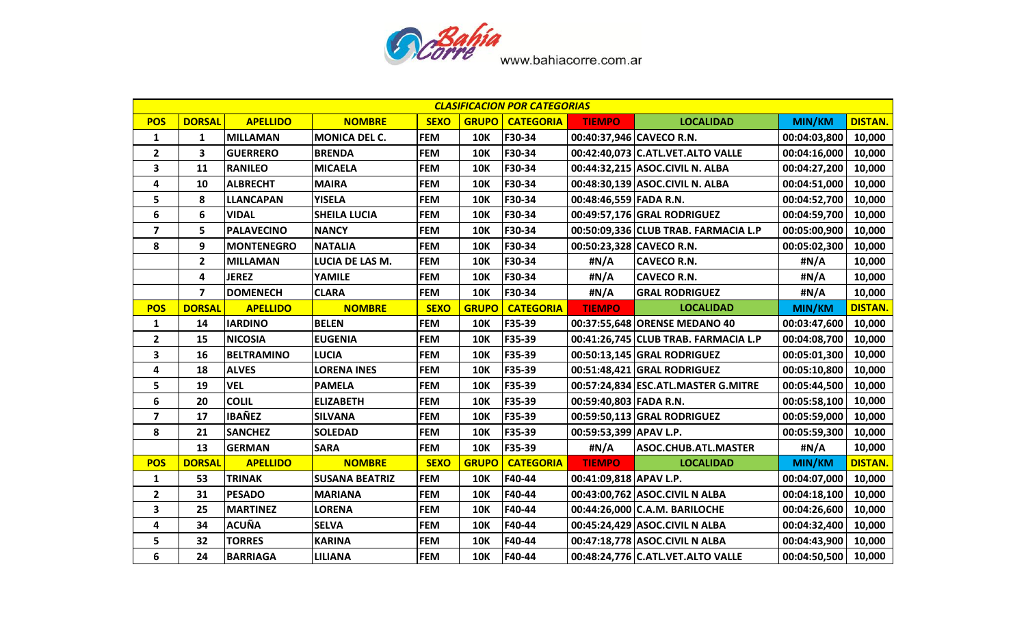

|                         | <b>CLASIFICACION POR CATEGORIAS</b> |                   |                       |             |              |                  |                          |                                      |               |                |  |
|-------------------------|-------------------------------------|-------------------|-----------------------|-------------|--------------|------------------|--------------------------|--------------------------------------|---------------|----------------|--|
| <b>POS</b>              | <b>DORSAL</b>                       | <b>APELLIDO</b>   | <b>NOMBRE</b>         | <b>SEXO</b> | <b>GRUPO</b> | <b>CATEGORIA</b> | <b>TIEMPO</b>            | <b>LOCALIDAD</b>                     | MIN/KM        | <b>DISTAN.</b> |  |
| 1                       | 1                                   | <b>MILLAMAN</b>   | <b>MONICA DEL C.</b>  | <b>FEM</b>  | <b>10K</b>   | F30-34           | 00:40:37,946 CAVECO R.N. |                                      | 00:04:03,800  | 10,000         |  |
| $\mathbf{2}$            | 3                                   | <b>GUERRERO</b>   | <b>BRENDA</b>         | <b>FEM</b>  | <b>10K</b>   | F30-34           |                          | 00:42:40,073 C.ATL.VET.ALTO VALLE    | 00:04:16,000  | 10,000         |  |
| 3                       | 11                                  | <b>RANILEO</b>    | <b>MICAELA</b>        | <b>FEM</b>  | <b>10K</b>   | F30-34           |                          | 00:44:32,215 ASOC.CIVIL N. ALBA      | 00:04:27,200  | 10,000         |  |
| 4                       | 10                                  | <b>ALBRECHT</b>   | <b>MAIRA</b>          | <b>FEM</b>  | <b>10K</b>   | F30-34           |                          | 00:48:30,139 ASOC.CIVIL N. ALBA      | 00:04:51,000  | 10,000         |  |
| 5                       | 8                                   | <b>LLANCAPAN</b>  | <b>YISELA</b>         | <b>FEM</b>  | <b>10K</b>   | F30-34           | 00:48:46,559 FADA R.N.   |                                      | 00:04:52,700  | 10,000         |  |
| 6                       | 6                                   | <b>VIDAL</b>      | <b>SHEILA LUCIA</b>   | <b>FEM</b>  | <b>10K</b>   | F30-34           |                          | 00:49:57,176 GRAL RODRIGUEZ          | 00:04:59,700  | 10,000         |  |
| 7                       | 5                                   | <b>PALAVECINO</b> | <b>NANCY</b>          | <b>FEM</b>  | <b>10K</b>   | F30-34           |                          | 00:50:09,336 CLUB TRAB. FARMACIA L.P | 00:05:00,900  | 10,000         |  |
| 8                       | 9                                   | <b>MONTENEGRO</b> | <b>NATALIA</b>        | <b>FEM</b>  | <b>10K</b>   | F30-34           |                          | 00:50:23,328 CAVECO R.N.             | 00:05:02,300  | 10,000         |  |
|                         | $\mathbf{2}$                        | <b>MILLAMAN</b>   | LUCIA DE LAS M.       | <b>FEM</b>  | <b>10K</b>   | F30-34           | #N/A                     | <b>CAVECO R.N.</b>                   | #N/A          | 10,000         |  |
|                         | 4                                   | <b>JEREZ</b>      | <b>YAMILE</b>         | <b>FEM</b>  | <b>10K</b>   | F30-34           | #N/A                     | <b>CAVECO R.N.</b>                   | #N/A          | 10,000         |  |
|                         | $\overline{\mathbf{z}}$             | <b>DOMENECH</b>   | <b>CLARA</b>          | <b>FEM</b>  | <b>10K</b>   | F30-34           | #N/A                     | <b>GRAL RODRIGUEZ</b>                | #N/A          | 10,000         |  |
| <b>POS</b>              | <b>DORSAL</b>                       | <b>APELLIDO</b>   | <b>NOMBRE</b>         | <b>SEXO</b> | <b>GRUPO</b> | <b>CATEGORIA</b> | <b>TIEMPO</b>            | <b>LOCALIDAD</b>                     | <b>MIN/KM</b> | <b>DISTAN.</b> |  |
| 1                       | 14                                  | <b>IARDINO</b>    | <b>BELEN</b>          | <b>FEM</b>  | <b>10K</b>   | F35-39           |                          | 00:37:55,648 ORENSE MEDANO 40        | 00:03:47,600  | 10,000         |  |
| $\mathbf{2}$            | 15                                  | <b>NICOSIA</b>    | <b>EUGENIA</b>        | <b>FEM</b>  | <b>10K</b>   | F35-39           |                          | 00:41:26,745 CLUB TRAB. FARMACIA L.P | 00:04:08,700  | 10,000         |  |
| 3                       | 16                                  | <b>BELTRAMINO</b> | <b>LUCIA</b>          | <b>FEM</b>  | <b>10K</b>   | F35-39           |                          | 00:50:13,145 GRAL RODRIGUEZ          | 00:05:01,300  | 10,000         |  |
| 4                       | 18                                  | <b>ALVES</b>      | <b>LORENA INES</b>    | <b>FEM</b>  | <b>10K</b>   | F35-39           |                          | 00:51:48,421 GRAL RODRIGUEZ          | 00:05:10,800  | 10,000         |  |
| 5                       | 19                                  | <b>VEL</b>        | <b>PAMELA</b>         | <b>FEM</b>  | <b>10K</b>   | F35-39           |                          | 00:57:24,834 ESC.ATL.MASTER G.MITRE  | 00:05:44,500  | 10,000         |  |
| 6                       | 20                                  | <b>COLIL</b>      | <b>ELIZABETH</b>      | <b>FEM</b>  | <b>10K</b>   | F35-39           | 00:59:40,803 FADA R.N.   |                                      | 00:05:58,100  | 10,000         |  |
| $\overline{\mathbf{z}}$ | 17                                  | <b>IBAÑEZ</b>     | <b>SILVANA</b>        | <b>FEM</b>  | <b>10K</b>   | F35-39           |                          | 00:59:50,113 GRAL RODRIGUEZ          | 00:05:59,000  | 10,000         |  |
| 8                       | 21                                  | <b>SANCHEZ</b>    | <b>SOLEDAD</b>        | <b>FEM</b>  | <b>10K</b>   | F35-39           | 00:59:53,399 APAV L.P.   |                                      | 00:05:59,300  | 10,000         |  |
|                         | 13                                  | <b>GERMAN</b>     | <b>SARA</b>           | <b>FEM</b>  | <b>10K</b>   | F35-39           | #N/A                     | ASOC.CHUB.ATL.MASTER                 | #N/A          | 10,000         |  |
| <b>POS</b>              | <b>DORSAL</b>                       | <b>APELLIDO</b>   | <b>NOMBRE</b>         | <b>SEXO</b> | <b>GRUPO</b> | <b>CATEGORIA</b> | <b>TIEMPO</b>            | <b>LOCALIDAD</b>                     | MIN/KM        | <b>DISTAN.</b> |  |
| 1                       | 53                                  | <b>TRINAK</b>     | <b>SUSANA BEATRIZ</b> | <b>FEM</b>  | <b>10K</b>   | F40-44           | 00:41:09,818 APAV L.P.   |                                      | 00:04:07,000  | 10,000         |  |
| $\mathbf{2}$            | 31                                  | <b>PESADO</b>     | <b>MARIANA</b>        | <b>FEM</b>  | <b>10K</b>   | F40-44           |                          | 00:43:00,762 ASOC.CIVIL N ALBA       | 00:04:18,100  | 10,000         |  |
| 3                       | 25                                  | <b>MARTINEZ</b>   | <b>LORENA</b>         | <b>FEM</b>  | <b>10K</b>   | F40-44           |                          | 00:44:26,000 C.A.M. BARILOCHE        | 00:04:26,600  | 10,000         |  |
| 4                       | 34                                  | <b>ACUÑA</b>      | <b>SELVA</b>          | <b>FEM</b>  | <b>10K</b>   | F40-44           |                          | 00:45:24,429 ASOC.CIVIL N ALBA       | 00:04:32,400  | 10,000         |  |
| 5                       | 32                                  | <b>TORRES</b>     | <b>KARINA</b>         | <b>FEM</b>  | <b>10K</b>   | F40-44           |                          | 00:47:18,778 ASOC.CIVIL N ALBA       | 00:04:43,900  | 10,000         |  |
| 6                       | 24                                  | <b>BARRIAGA</b>   | <b>LILIANA</b>        | <b>FEM</b>  | <b>10K</b>   | F40-44           |                          | 00:48:24,776 C.ATL.VET.ALTO VALLE    | 00:04:50,500  | 10,000         |  |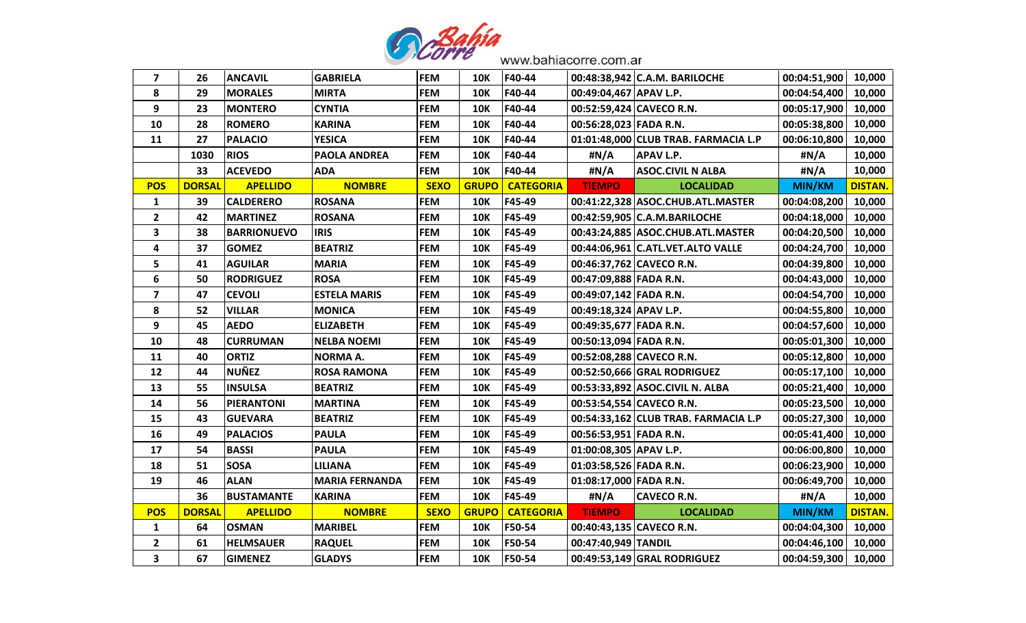

| $\overline{\mathbf{z}}$ | 26            | <b>ANCAVIL</b>     | <b>GABRIELA</b>       | <b>FEM</b>  | 10K          | F40-44           |                          | 00:48:38,942 C.A.M. BARILOCHE        | 00:04:51,900  | 10,000         |
|-------------------------|---------------|--------------------|-----------------------|-------------|--------------|------------------|--------------------------|--------------------------------------|---------------|----------------|
| 8                       | 29            | <b>MORALES</b>     | <b>MIRTA</b>          | <b>FEM</b>  | <b>10K</b>   | F40-44           | 00:49:04,467 APAV L.P.   |                                      | 00:04:54,400  | 10,000         |
| 9                       | 23            | <b>MONTERO</b>     | <b>CYNTIA</b>         | <b>FEM</b>  | <b>10K</b>   | F40-44           | 00:52:59,424 CAVECO R.N. |                                      | 00:05:17,900  | 10,000         |
| 10                      | 28            | <b>ROMERO</b>      | <b>KARINA</b>         | <b>FEM</b>  | <b>10K</b>   | F40-44           | 00:56:28,023 FADA R.N.   |                                      | 00:05:38,800  | 10,000         |
| 11                      | 27            | <b>PALACIO</b>     | <b>YESICA</b>         | <b>FEM</b>  | <b>10K</b>   | F40-44           |                          | 01:01:48,000 CLUB TRAB. FARMACIA L.P | 00:06:10,800  | 10,000         |
|                         | 1030          | <b>RIOS</b>        | <b>PAOLA ANDREA</b>   | <b>FEM</b>  | <b>10K</b>   | F40-44           | #N/A                     | <b>APAV L.P.</b>                     | #N/A          | 10,000         |
|                         | 33            | <b>ACEVEDO</b>     | <b>ADA</b>            | <b>FEM</b>  | <b>10K</b>   | F40-44           | #N/A                     | <b>ASOC.CIVIL N ALBA</b>             | #N/A          | 10,000         |
| <b>POS</b>              | <b>DORSAL</b> | <b>APELLIDO</b>    | <b>NOMBRE</b>         | <b>SEXO</b> | <b>GRUPO</b> | <b>CATEGORIA</b> | <b>TIEMPO</b>            | <b>LOCALIDAD</b>                     | <b>MIN/KM</b> | <b>DISTAN.</b> |
| $\mathbf{1}$            | 39            | <b>CALDERERO</b>   | <b>ROSANA</b>         | <b>FEM</b>  | <b>10K</b>   | F45-49           |                          | 00:41:22,328 ASOC.CHUB.ATL.MASTER    | 00:04:08,200  | 10,000         |
| $\mathbf{2}$            | 42            | <b>MARTINEZ</b>    | <b>ROSANA</b>         | <b>FEM</b>  | <b>10K</b>   | F45-49           |                          | 00:42:59,905 C.A.M.BARILOCHE         | 00:04:18,000  | 10,000         |
| 3                       | 38            | <b>BARRIONUEVO</b> | <b>IRIS</b>           | <b>FEM</b>  | <b>10K</b>   | F45-49           |                          | 00:43:24,885 ASOC.CHUB.ATL.MASTER    | 00:04:20,500  | 10,000         |
| 4                       | 37            | <b>GOMEZ</b>       | <b>BEATRIZ</b>        | <b>FEM</b>  | <b>10K</b>   | F45-49           |                          | 00:44:06,961 C.ATL.VET.ALTO VALLE    | 00:04:24,700  | 10,000         |
| 5                       | 41            | <b>AGUILAR</b>     | <b>MARIA</b>          | <b>FEM</b>  | <b>10K</b>   | F45-49           | 00:46:37,762 CAVECO R.N. |                                      | 00:04:39,800  | 10,000         |
| 6                       | 50            | <b>RODRIGUEZ</b>   | <b>ROSA</b>           | <b>FEM</b>  | <b>10K</b>   | F45-49           | 00:47:09,888 FADA R.N.   |                                      | 00:04:43,000  | 10,000         |
| $\overline{\mathbf{z}}$ | 47            | <b>CEVOLI</b>      | <b>ESTELA MARIS</b>   | <b>FEM</b>  | <b>10K</b>   | F45-49           | 00:49:07,142 FADA R.N.   |                                      | 00:04:54,700  | 10,000         |
| 8                       | 52            | <b>VILLAR</b>      | <b>MONICA</b>         | <b>FEM</b>  | <b>10K</b>   | F45-49           | 00:49:18,324 APAV L.P.   |                                      | 00:04:55,800  | 10,000         |
| 9                       | 45            | <b>AEDO</b>        | <b>ELIZABETH</b>      | <b>FEM</b>  | <b>10K</b>   | F45-49           | 00:49:35,677 FADA R.N.   |                                      | 00:04:57,600  | 10,000         |
| 10                      | 48            | <b>CURRUMAN</b>    | <b>NELBA NOEMI</b>    | <b>FEM</b>  | <b>10K</b>   | F45-49           | 00:50:13,094 FADA R.N.   |                                      | 00:05:01,300  | 10,000         |
| 11                      | 40            | <b>ORTIZ</b>       | <b>NORMA A.</b>       | <b>FEM</b>  | <b>10K</b>   | F45-49           | 00:52:08,288 CAVECO R.N. |                                      | 00:05:12,800  | 10,000         |
| 12                      | 44            | <b>NUÑEZ</b>       | <b>ROSA RAMONA</b>    | <b>FEM</b>  | <b>10K</b>   | F45-49           |                          | 00:52:50,666 GRAL RODRIGUEZ          | 00:05:17,100  | 10,000         |
| 13                      | 55            | <b>INSULSA</b>     | <b>BEATRIZ</b>        | <b>FEM</b>  | <b>10K</b>   | F45-49           |                          | 00:53:33,892 ASOC.CIVIL N. ALBA      | 00:05:21,400  | 10,000         |
| 14                      | 56            | <b>PIERANTONI</b>  | <b>MARTINA</b>        | <b>FEM</b>  | <b>10K</b>   | F45-49           | 00:53:54,554 CAVECO R.N. |                                      | 00:05:23,500  | 10,000         |
| 15                      | 43            | <b>GUEVARA</b>     | <b>BEATRIZ</b>        | <b>FEM</b>  | <b>10K</b>   | F45-49           |                          | 00:54:33,162 CLUB TRAB. FARMACIA L.P | 00:05:27,300  | 10,000         |
| 16                      | 49            | <b>PALACIOS</b>    | <b>PAULA</b>          | <b>FEM</b>  | <b>10K</b>   | F45-49           | 00:56:53,951 FADA R.N.   |                                      | 00:05:41,400  | 10,000         |
| 17                      | 54            | <b>BASSI</b>       | <b>PAULA</b>          | <b>FEM</b>  | 10K          | F45-49           | 01:00:08,305 APAV L.P.   |                                      | 00:06:00,800  | 10,000         |
| 18                      | 51            | <b>SOSA</b>        | <b>LILIANA</b>        | <b>FEM</b>  | <b>10K</b>   | F45-49           | 01:03:58,526 FADA R.N.   |                                      | 00:06:23,900  | 10,000         |
| 19                      | 46            | <b>ALAN</b>        | <b>MARIA FERNANDA</b> | <b>FEM</b>  | <b>10K</b>   | F45-49           | 01:08:17,000 FADA R.N.   |                                      | 00:06:49,700  | 10,000         |
|                         | 36            | <b>BUSTAMANTE</b>  | <b>KARINA</b>         | <b>FEM</b>  | <b>10K</b>   | F45-49           | #N/A                     | <b>CAVECO R.N.</b>                   | #N/A          | 10,000         |
| <b>POS</b>              | <b>DORSAL</b> | <b>APELLIDO</b>    | <b>NOMBRE</b>         | <b>SEXO</b> | <b>GRUPO</b> | <b>CATEGORIA</b> | <b>TIEMPO</b>            | <b>LOCALIDAD</b>                     | MIN/KM        | <b>DISTAN.</b> |
| 1                       | 64            | <b>OSMAN</b>       | <b>MARIBEL</b>        | <b>FEM</b>  | <b>10K</b>   | F50-54           | 00:40:43,135 CAVECO R.N. |                                      | 00:04:04,300  | 10,000         |
| $\mathbf{2}$            | 61            | <b>HELMSAUER</b>   | <b>RAQUEL</b>         | <b>FEM</b>  | <b>10K</b>   | F50-54           | 00:47:40,949 TANDIL      |                                      | 00:04:46,100  | 10,000         |
| 3                       | 67            | <b>GIMENEZ</b>     | <b>GLADYS</b>         | <b>FEM</b>  | <b>10K</b>   | F50-54           |                          | 00:49:53,149 GRAL RODRIGUEZ          | 00:04:59,300  | 10,000         |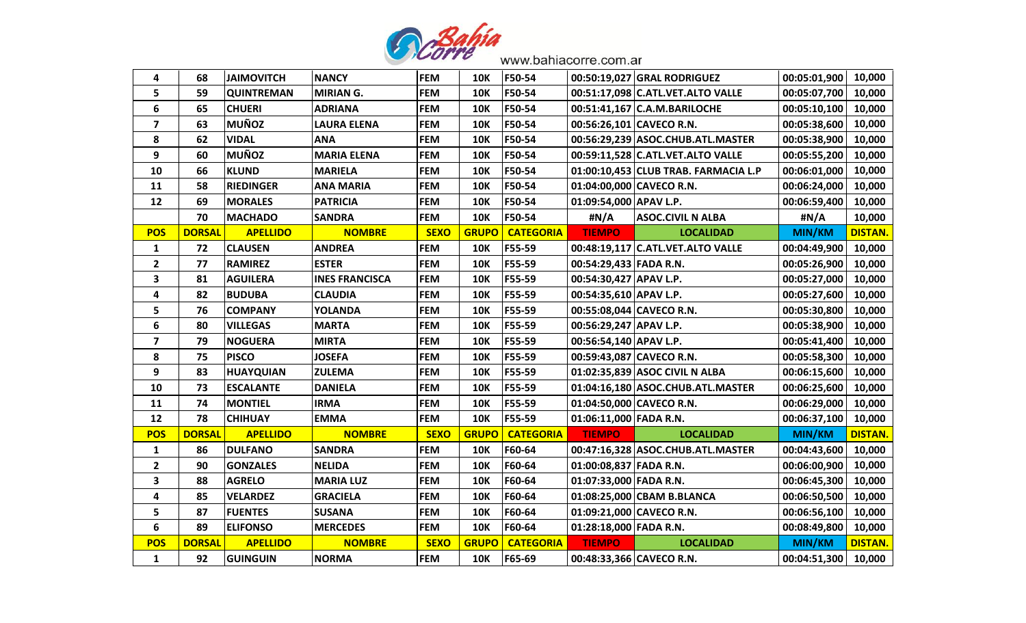

| 4                       | 68            | <b>JAIMOVITCH</b> | <b>NANCY</b>          | <b>FEM</b>  | <b>10K</b>   | F50-54           |                        | 00:50:19,027 GRAL RODRIGUEZ          | 00:05:01,900        | 10,000         |
|-------------------------|---------------|-------------------|-----------------------|-------------|--------------|------------------|------------------------|--------------------------------------|---------------------|----------------|
| 5                       | 59            | <b>QUINTREMAN</b> | <b>MIRIAN G.</b>      | <b>FEM</b>  | <b>10K</b>   | F50-54           |                        | 00:51:17,098 C.ATL.VET.ALTO VALLE    | 00:05:07,700        | 10,000         |
| 6                       | 65            | <b>CHUERI</b>     | <b>ADRIANA</b>        | <b>FEM</b>  | <b>10K</b>   | F50-54           |                        | 00:51:41,167 C.A.M.BARILOCHE         | 00:05:10,100        | 10,000         |
| $\overline{\mathbf{z}}$ | 63            | <b>MUÑOZ</b>      | <b>LAURA ELENA</b>    | <b>FEM</b>  | <b>10K</b>   | F50-54           |                        | 00:56:26,101 CAVECO R.N.             | 00:05:38,600        | 10,000         |
| 8                       | 62            | <b>VIDAL</b>      | <b>ANA</b>            | <b>FEM</b>  | <b>10K</b>   | F50-54           |                        | 00:56:29,239 ASOC.CHUB.ATL.MASTER    | 00:05:38,900        | 10,000         |
| 9                       | 60            | <b>MUÑOZ</b>      | <b>MARIA ELENA</b>    | <b>FEM</b>  | <b>10K</b>   | F50-54           |                        | 00:59:11,528 C.ATL.VET.ALTO VALLE    | 00:05:55,200        | 10,000         |
| 10                      | 66            | <b>KLUND</b>      | <b>MARIELA</b>        | <b>FEM</b>  | <b>10K</b>   | F50-54           |                        | 01:00:10,453 CLUB TRAB. FARMACIA L.P | 00:06:01,000        | 10,000         |
| 11                      | 58            | <b>RIEDINGER</b>  | <b>ANA MARIA</b>      | <b>FEM</b>  | <b>10K</b>   | F50-54           |                        | 01:04:00,000 CAVECO R.N.             | 00:06:24,000        | 10,000         |
| 12                      | 69            | <b>MORALES</b>    | <b>PATRICIA</b>       | <b>FEM</b>  | <b>10K</b>   | F50-54           | 01:09:54,000 APAV L.P. |                                      | 00:06:59,400        | 10,000         |
|                         | 70            | <b>MACHADO</b>    | <b>SANDRA</b>         | <b>FEM</b>  | <b>10K</b>   | F50-54           | #N/A                   | <b>ASOC.CIVIL N ALBA</b>             | #N/A                | 10,000         |
| <b>POS</b>              | <b>DORSAL</b> | <b>APELLIDO</b>   | <b>NOMBRE</b>         | <b>SEXO</b> | <b>GRUPO</b> | <b>CATEGORIA</b> | <b>TIEMPO</b>          | <b>LOCALIDAD</b>                     | MIN/KM              | <b>DISTAN.</b> |
| $\mathbf{1}$            | 72            | <b>CLAUSEN</b>    | <b>ANDREA</b>         | <b>FEM</b>  | <b>10K</b>   | F55-59           |                        | 00:48:19,117 C.ATL.VET.ALTO VALLE    | 00:04:49,900        | 10,000         |
| $\mathbf{2}$            | 77            | <b>RAMIREZ</b>    | <b>ESTER</b>          | <b>FEM</b>  | <b>10K</b>   | F55-59           | 00:54:29,433 FADA R.N. |                                      | 00:05:26,900        | 10,000         |
| 3                       | 81            | <b>AGUILERA</b>   | <b>INES FRANCISCA</b> | <b>FEM</b>  | <b>10K</b>   | F55-59           | 00:54:30,427 APAV L.P. |                                      | 00:05:27,000        | 10,000         |
| 4                       | 82            | <b>BUDUBA</b>     | <b>CLAUDIA</b>        | <b>FEM</b>  | <b>10K</b>   | F55-59           | 00:54:35,610 APAV L.P. |                                      | 00:05:27,600        | 10,000         |
| 5                       | 76            | <b>COMPANY</b>    | <b>YOLANDA</b>        | <b>FEM</b>  | <b>10K</b>   | F55-59           |                        | 00:55:08,044 CAVECO R.N.             | 00:05:30,800        | 10,000         |
| 6                       | 80            | <b>VILLEGAS</b>   | <b>MARTA</b>          | <b>FEM</b>  | <b>10K</b>   | F55-59           | 00:56:29,247 APAV L.P. |                                      | 00:05:38,900        | 10,000         |
| $\overline{\mathbf{z}}$ | 79            | <b>NOGUERA</b>    | <b>MIRTA</b>          | <b>FEM</b>  | <b>10K</b>   | F55-59           | 00:56:54,140 APAV L.P. |                                      | 00:05:41,400        | 10,000         |
| 8                       | 75            | <b>PISCO</b>      | <b>JOSEFA</b>         | <b>FEM</b>  | <b>10K</b>   | F55-59           |                        | 00:59:43,087 CAVECO R.N.             | 00:05:58,300        | 10,000         |
| 9                       | 83            | <b>HUAYQUIAN</b>  | <b>ZULEMA</b>         | <b>FEM</b>  | <b>10K</b>   | F55-59           |                        | 01:02:35,839 ASOC CIVIL N ALBA       | 00:06:15,600        | 10,000         |
| 10                      | 73            | <b>ESCALANTE</b>  | <b>DANIELA</b>        | <b>FEM</b>  | <b>10K</b>   | F55-59           |                        | 01:04:16,180 ASOC.CHUB.ATL.MASTER    | 00:06:25,600        | 10,000         |
| 11                      | 74            | <b>MONTIEL</b>    | <b>IRMA</b>           | <b>FEM</b>  | <b>10K</b>   | F55-59           |                        | 01:04:50,000 CAVECO R.N.             | 00:06:29,000        | 10,000         |
| 12                      | 78            | <b>CHIHUAY</b>    | <b>EMMA</b>           | <b>FEM</b>  | <b>10K</b>   | F55-59           | 01:06:11,000 FADA R.N. |                                      | 00:06:37,100        | 10,000         |
| <b>POS</b>              | <b>DORSAL</b> | <b>APELLIDO</b>   | <b>NOMBRE</b>         | <b>SEXO</b> | <b>GRUPO</b> | <b>CATEGORIA</b> | <b>TIEMPO</b>          | <b>LOCALIDAD</b>                     | MIN/KM              | <b>DISTAN.</b> |
| $\mathbf{1}$            | 86            | <b>DULFANO</b>    | <b>SANDRA</b>         | <b>FEM</b>  | <b>10K</b>   | F60-64           |                        | 00:47:16,328 ASOC.CHUB.ATL.MASTER    | 00:04:43,600        | 10,000         |
| $\overline{2}$          | 90            | <b>GONZALES</b>   | <b>NELIDA</b>         | <b>FEM</b>  | <b>10K</b>   | F60-64           | 01:00:08,837 FADA R.N. |                                      | 00:06:00,900        | 10,000         |
| 3                       | 88            | <b>AGRELO</b>     | <b>MARIA LUZ</b>      | <b>FEM</b>  | <b>10K</b>   | F60-64           | 01:07:33,000 FADA R.N. |                                      | 00:06:45,300        | 10,000         |
| 4                       | 85            | <b>VELARDEZ</b>   | <b>GRACIELA</b>       | <b>FEM</b>  | <b>10K</b>   | F60-64           |                        | 01:08:25,000 CBAM B.BLANCA           | 00:06:50,500        | 10,000         |
| 5                       | 87            | <b>FUENTES</b>    | <b>SUSANA</b>         | <b>FEM</b>  | <b>10K</b>   | F60-64           |                        | 01:09:21,000 CAVECO R.N.             | 00:06:56,100        | 10,000         |
| 6                       | 89            | <b>ELIFONSO</b>   | <b>MERCEDES</b>       | <b>FEM</b>  | <b>10K</b>   | F60-64           | 01:28:18,000 FADA R.N. |                                      | 00:08:49,800        | 10,000         |
| <b>POS</b>              | <b>DORSAL</b> | <b>APELLIDO</b>   | <b>NOMBRE</b>         | <b>SEXO</b> | <b>GRUPO</b> | <b>CATEGORIA</b> | <b>TIEMPO</b>          | <b>LOCALIDAD</b>                     | MIN/KM              | <b>DISTAN.</b> |
| $\mathbf{1}$            | 92            | GUINGUIN          | <b>NORMA</b>          | <b>FEM</b>  | <b>10K</b>   | F65-69           |                        | 00:48:33,366 CAVECO R.N.             | 00:04:51,300 10,000 |                |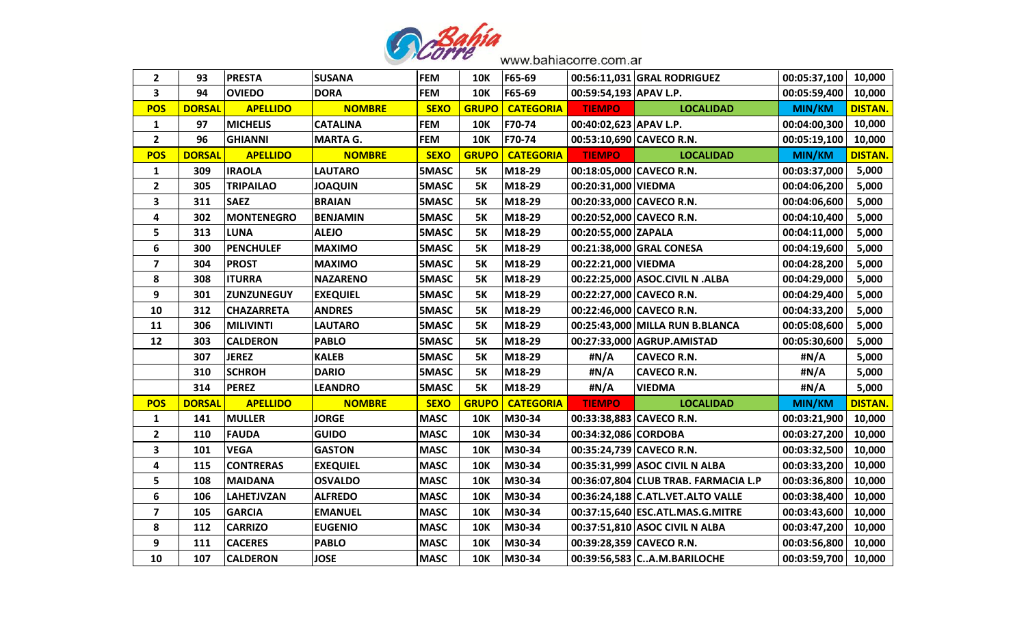

| $\mathbf{2}$            | 93            | <b>PRESTA</b>     | <b>SUSANA</b>   | <b>FEM</b>   | <b>10K</b>   | F65-69           |                        | 00:56:11,031 GRAL RODRIGUEZ          | 00:05:37,100  | 10,000         |
|-------------------------|---------------|-------------------|-----------------|--------------|--------------|------------------|------------------------|--------------------------------------|---------------|----------------|
| 3                       | 94            | <b>OVIEDO</b>     | <b>DORA</b>     | <b>FEM</b>   | <b>10K</b>   | F65-69           | 00:59:54,193 APAV L.P. |                                      | 00:05:59,400  | 10,000         |
| <b>POS</b>              | <b>DORSAL</b> | <b>APELLIDO</b>   | <b>NOMBRE</b>   | <b>SEXO</b>  | <b>GRUPO</b> | <b>CATEGORIA</b> | <b>TIEMPO</b>          | <b>LOCALIDAD</b>                     | MIN/KM        | <b>DISTAN.</b> |
| $\mathbf{1}$            | 97            | <b>MICHELIS</b>   | <b>CATALINA</b> | <b>FEM</b>   | <b>10K</b>   | F70-74           | 00:40:02,623 APAV L.P. |                                      | 00:04:00,300  | 10,000         |
| $\mathbf{2}$            | 96            | <b>GHIANNI</b>    | <b>MARTA G.</b> | <b>FEM</b>   | <b>10K</b>   | F70-74           |                        | 00:53:10,690 CAVECO R.N.             | 00:05:19,100  | 10,000         |
| <b>POS</b>              | <b>DORSAL</b> | <b>APELLIDO</b>   | <b>NOMBRE</b>   | <b>SEXO</b>  | <b>GRUPO</b> | <b>CATEGORIA</b> | <b>TIEMPO</b>          | <b>LOCALIDAD</b>                     | MIN/KM        | <b>DISTAN.</b> |
| 1                       | 309           | <b>IRAOLA</b>     | <b>LAUTARO</b>  | <b>5MASC</b> | 5K           | M18-29           |                        | 00:18:05,000 CAVECO R.N.             | 00:03:37,000  | 5,000          |
| $\overline{2}$          | 305           | <b>TRIPAILAO</b>  | <b>JOAQUIN</b>  | 5MASC        | <b>5K</b>    | M18-29           | 00:20:31,000 VIEDMA    |                                      | 00:04:06,200  | 5,000          |
| 3                       | 311           | <b>SAEZ</b>       | <b>BRAIAN</b>   | 5MASC        | <b>5K</b>    | M18-29           |                        | 00:20:33,000 CAVECO R.N.             | 00:04:06,600  | 5,000          |
| 4                       | 302           | <b>MONTENEGRO</b> | <b>BENJAMIN</b> | 5MASC        | <b>5K</b>    | M18-29           |                        | 00:20:52,000 CAVECO R.N.             | 00:04:10,400  | 5,000          |
| 5                       | 313           | <b>LUNA</b>       | <b>ALEJO</b>    | 5MASC        | <b>5K</b>    | M18-29           | 00:20:55,000 ZAPALA    |                                      | 00:04:11,000  | 5,000          |
| 6                       | 300           | <b>PENCHULEF</b>  | <b>MAXIMO</b>   | 5MASC        | <b>5K</b>    | M18-29           |                        | 00:21:38,000 GRAL CONESA             | 00:04:19,600  | 5,000          |
| $\overline{\mathbf{z}}$ | 304           | <b>PROST</b>      | <b>MAXIMO</b>   | 5MASC        | <b>5K</b>    | M18-29           | 00:22:21,000 VIEDMA    |                                      | 00:04:28,200  | 5,000          |
| 8                       | 308           | <b>ITURRA</b>     | <b>NAZARENO</b> | 5MASC        | <b>5K</b>    | M18-29           |                        | 00:22:25,000 ASOC.CIVIL N .ALBA      | 00:04:29,000  | 5,000          |
| 9                       | 301           | <b>ZUNZUNEGUY</b> | <b>EXEQUIEL</b> | 5MASC        | <b>5K</b>    | M18-29           |                        | 00:22:27,000 CAVECO R.N.             | 00:04:29,400  | 5,000          |
| 10                      | 312           | <b>CHAZARRETA</b> | <b>ANDRES</b>   | 5MASC        | <b>5K</b>    | M18-29           |                        | 00:22:46,000 CAVECO R.N.             | 00:04:33,200  | 5,000          |
| 11                      | 306           | <b>MILIVINTI</b>  | <b>LAUTARO</b>  | 5MASC        | <b>5K</b>    | M18-29           |                        | 00:25:43,000 MILLA RUN B.BLANCA      | 00:05:08,600  | 5,000          |
| 12                      | 303           | <b>CALDERON</b>   | <b>PABLO</b>    | 5MASC        | <b>5K</b>    | M18-29           |                        | 00:27:33,000 AGRUP.AMISTAD           | 00:05:30,600  | 5,000          |
|                         | 307           | <b>JEREZ</b>      | <b>KALEB</b>    | 5MASC        | 5K           | M18-29           | #N/A                   | <b>CAVECO R.N.</b>                   | #N/A          | 5,000          |
|                         | 310           | <b>SCHROH</b>     | <b>DARIO</b>    | 5MASC        | <b>5K</b>    | M18-29           | #N/A                   | <b>CAVECO R.N.</b>                   | #N/A          | 5,000          |
|                         | 314           | <b>PEREZ</b>      | <b>LEANDRO</b>  | 5MASC        | <b>5K</b>    | M18-29           | #N/A                   | <b>VIEDMA</b>                        | #N/A          | 5,000          |
| <b>POS</b>              | <b>DORSAL</b> | <b>APELLIDO</b>   | <b>NOMBRE</b>   | <b>SEXO</b>  | <b>GRUPO</b> | <b>CATEGORIA</b> | <b>TIEMPO</b>          | <b>LOCALIDAD</b>                     | <b>MIN/KM</b> | <b>DISTAN.</b> |
| $\mathbf{1}$            | 141           | <b>MULLER</b>     | <b>JORGE</b>    | <b>MASC</b>  | <b>10K</b>   | M30-34           |                        | 00:33:38,883 CAVECO R.N.             | 00:03:21,900  | 10,000         |
| $\mathbf{2}$            | 110           | <b>FAUDA</b>      | <b>GUIDO</b>    | <b>MASC</b>  | <b>10K</b>   | M30-34           | 00:34:32,086 CORDOBA   |                                      | 00:03:27,200  | 10,000         |
| 3                       | 101           | <b>VEGA</b>       | <b>GASTON</b>   | <b>MASC</b>  | <b>10K</b>   | M30-34           |                        | 00:35:24,739 CAVECO R.N.             | 00:03:32,500  | 10,000         |
| 4                       | 115           | <b>CONTRERAS</b>  | <b>EXEQUIEL</b> | <b>MASC</b>  | <b>10K</b>   | M30-34           |                        | 00:35:31,999 ASOC CIVIL N ALBA       | 00:03:33,200  | 10,000         |
| 5                       | 108           | <b>MAIDANA</b>    | <b>OSVALDO</b>  | <b>MASC</b>  | <b>10K</b>   | M30-34           |                        | 00:36:07,804 CLUB TRAB. FARMACIA L.P | 00:03:36,800  | 10,000         |
| 6                       | 106           | <b>LAHETJVZAN</b> | <b>ALFREDO</b>  | <b>MASC</b>  | <b>10K</b>   | M30-34           |                        | 00:36:24,188 C.ATL.VET.ALTO VALLE    | 00:03:38,400  | 10,000         |
| $\overline{\mathbf{z}}$ | 105           | <b>GARCIA</b>     | <b>EMANUEL</b>  | <b>MASC</b>  | <b>10K</b>   | M30-34           |                        | 00:37:15,640 ESC.ATL.MAS.G.MITRE     | 00:03:43,600  | 10,000         |
| 8                       | 112           | <b>CARRIZO</b>    | <b>EUGENIO</b>  | <b>MASC</b>  | <b>10K</b>   | M30-34           |                        | 00:37:51,810 ASOC CIVIL N ALBA       | 00:03:47,200  | 10,000         |
| 9                       | 111           | <b>CACERES</b>    | <b>PABLO</b>    | <b>MASC</b>  | <b>10K</b>   | M30-34           |                        | 00:39:28,359 CAVECO R.N.             | 00:03:56,800  | 10,000         |
| 10                      | 107           | <b>CALDERON</b>   | <b>JOSE</b>     | <b>MASC</b>  | <b>10K</b>   | M30-34           |                        | 00:39:56,583 CA.M.BARILOCHE          | 00:03:59,700  | 10,000         |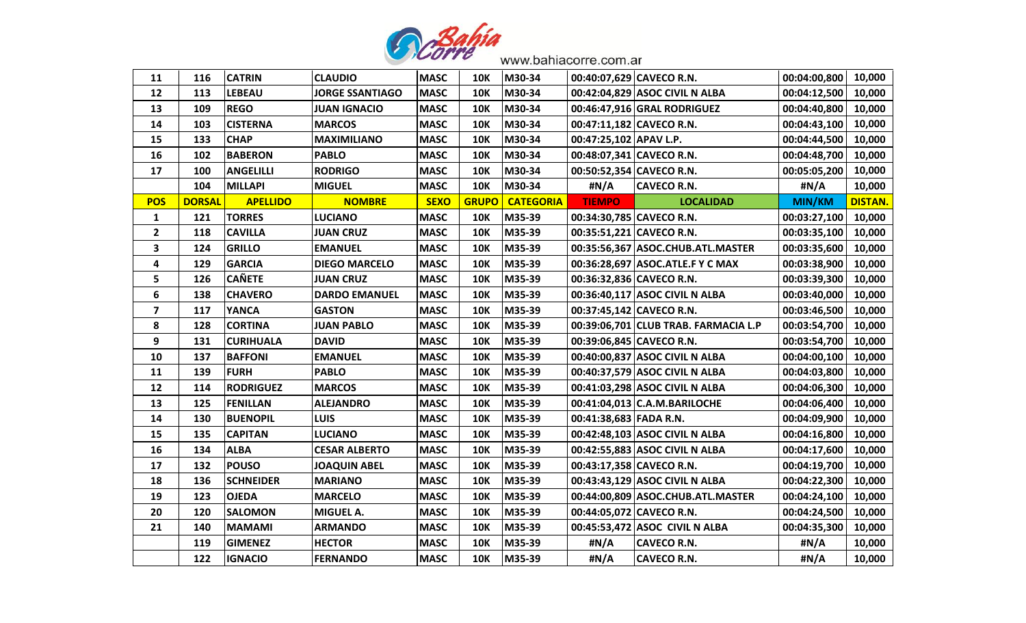

| 11                      | 116           | <b>CATRIN</b>    | <b>CLAUDIO</b>         | <b>MASC</b> | <b>10K</b>   | M30-34           | 00:40:07,629 CAVECO R.N. |                                      | 00:04:00,800 | 10,000         |
|-------------------------|---------------|------------------|------------------------|-------------|--------------|------------------|--------------------------|--------------------------------------|--------------|----------------|
| 12                      | 113           | <b>LEBEAU</b>    | <b>JORGE SSANTIAGO</b> | <b>MASC</b> | <b>10K</b>   | M30-34           |                          | 00:42:04,829 ASOC CIVIL N ALBA       | 00:04:12,500 | 10,000         |
| 13                      | 109           | <b>REGO</b>      | <b>JUAN IGNACIO</b>    | <b>MASC</b> | <b>10K</b>   | M30-34           |                          | 00:46:47,916 GRAL RODRIGUEZ          | 00:04:40,800 | 10,000         |
| 14                      | 103           | <b>CISTERNA</b>  | <b>MARCOS</b>          | <b>MASC</b> | <b>10K</b>   | M30-34           | 00:47:11,182 CAVECO R.N. |                                      | 00:04:43,100 | 10,000         |
| 15                      | 133           | <b>CHAP</b>      | <b>MAXIMILIANO</b>     | <b>MASC</b> | <b>10K</b>   | M30-34           | 00:47:25,102 APAV L.P.   |                                      | 00:04:44,500 | 10,000         |
| 16                      | 102           | <b>BABERON</b>   | <b>PABLO</b>           | <b>MASC</b> | <b>10K</b>   | M30-34           | 00:48:07,341 CAVECO R.N. |                                      | 00:04:48,700 | 10,000         |
| 17                      | 100           | <b>ANGELILLI</b> | <b>RODRIGO</b>         | <b>MASC</b> | <b>10K</b>   | M30-34           | 00:50:52,354 CAVECO R.N. |                                      | 00:05:05,200 | 10,000         |
|                         | 104           | <b>MILLAPI</b>   | <b>MIGUEL</b>          | <b>MASC</b> | <b>10K</b>   | M30-34           | #N/A                     | <b>CAVECO R.N.</b>                   | #N/A         | 10,000         |
| <b>POS</b>              | <b>DORSAL</b> | <b>APELLIDO</b>  | <b>NOMBRE</b>          | <b>SEXO</b> | <b>GRUPO</b> | <b>CATEGORIA</b> | <b>TIEMPO</b>            | <b>LOCALIDAD</b>                     | MIN/KM       | <b>DISTAN.</b> |
| $\mathbf{1}$            | 121           | <b>TORRES</b>    | <b>LUCIANO</b>         | <b>MASC</b> | <b>10K</b>   | M35-39           | 00:34:30,785 CAVECO R.N. |                                      | 00:03:27,100 | 10,000         |
| $\mathbf{2}$            | 118           | <b>CAVILLA</b>   | <b>JUAN CRUZ</b>       | <b>MASC</b> | <b>10K</b>   | M35-39           | 00:35:51,221 CAVECO R.N. |                                      | 00:03:35,100 | 10,000         |
| 3                       | 124           | <b>GRILLO</b>    | <b>EMANUEL</b>         | <b>MASC</b> | <b>10K</b>   | M35-39           |                          | 00:35:56,367 ASOC.CHUB.ATL.MASTER    | 00:03:35,600 | 10,000         |
| 4                       | 129           | <b>GARCIA</b>    | <b>DIEGO MARCELO</b>   | <b>MASC</b> | <b>10K</b>   | M35-39           |                          | 00:36:28,697   ASOC.ATLE.F Y C MAX   | 00:03:38,900 | 10,000         |
| 5                       | 126           | <b>CAÑETE</b>    | <b>JUAN CRUZ</b>       | <b>MASC</b> | <b>10K</b>   | M35-39           | 00:36:32,836 CAVECO R.N. |                                      | 00:03:39,300 | 10,000         |
| 6                       | 138           | <b>CHAVERO</b>   | <b>DARDO EMANUEL</b>   | <b>MASC</b> | <b>10K</b>   | M35-39           |                          | 00:36:40,117 ASOC CIVIL N ALBA       | 00:03:40,000 | 10,000         |
| $\overline{\mathbf{z}}$ | 117           | <b>YANCA</b>     | <b>GASTON</b>          | <b>MASC</b> | <b>10K</b>   | M35-39           | 00:37:45,142 CAVECO R.N. |                                      | 00:03:46,500 | 10,000         |
| 8                       | 128           | <b>CORTINA</b>   | <b>JUAN PABLO</b>      | <b>MASC</b> | <b>10K</b>   | M35-39           |                          | 00:39:06,701 CLUB TRAB. FARMACIA L.P | 00:03:54,700 | 10,000         |
| 9                       | 131           | <b>CURIHUALA</b> | <b>DAVID</b>           | <b>MASC</b> | <b>10K</b>   | M35-39           | 00:39:06,845 CAVECO R.N. |                                      | 00:03:54,700 | 10,000         |
| 10                      | 137           | <b>BAFFONI</b>   | <b>EMANUEL</b>         | <b>MASC</b> | <b>10K</b>   | M35-39           |                          | 00:40:00,837 ASOC CIVIL N ALBA       | 00:04:00,100 | 10,000         |
| 11                      | 139           | <b>FURH</b>      | <b>PABLO</b>           | <b>MASC</b> | <b>10K</b>   | M35-39           |                          | 00:40:37,579 ASOC CIVIL N ALBA       | 00:04:03,800 | 10,000         |
| 12                      | 114           | <b>RODRIGUEZ</b> | <b>MARCOS</b>          | <b>MASC</b> | <b>10K</b>   | M35-39           |                          | 00:41:03,298 ASOC CIVIL N ALBA       | 00:04:06,300 | 10,000         |
| 13                      | 125           | <b>FENILLAN</b>  | <b>ALEJANDRO</b>       | <b>MASC</b> | <b>10K</b>   | M35-39           |                          | 00:41:04,013 C.A.M.BARILOCHE         | 00:04:06,400 | 10,000         |
| 14                      | 130           | <b>BUENOPIL</b>  | <b>LUIS</b>            | <b>MASC</b> | <b>10K</b>   | M35-39           | 00:41:38,683 FADA R.N.   |                                      | 00:04:09,900 | 10,000         |
| 15                      | 135           | <b>CAPITAN</b>   | <b>LUCIANO</b>         | <b>MASC</b> | <b>10K</b>   | M35-39           |                          | 00:42:48,103 ASOC CIVIL N ALBA       | 00:04:16,800 | 10,000         |
| 16                      | 134           | <b>ALBA</b>      | <b>CESAR ALBERTO</b>   | <b>MASC</b> | <b>10K</b>   | M35-39           |                          | 00:42:55,883 ASOC CIVIL N ALBA       | 00:04:17,600 | 10,000         |
| 17                      | 132           | <b>POUSO</b>     | <b>JOAQUIN ABEL</b>    | <b>MASC</b> | <b>10K</b>   | M35-39           | 00:43:17,358 CAVECO R.N. |                                      | 00:04:19,700 | 10,000         |
| 18                      | 136           | <b>SCHNEIDER</b> | <b>MARIANO</b>         | <b>MASC</b> | <b>10K</b>   | M35-39           |                          | 00:43:43,129 ASOC CIVIL N ALBA       | 00:04:22,300 | 10,000         |
| 19                      | 123           | <b>OJEDA</b>     | <b>MARCELO</b>         | <b>MASC</b> | <b>10K</b>   | M35-39           |                          | 00:44:00,809 ASOC.CHUB.ATL.MASTER    | 00:04:24,100 | 10,000         |
| 20                      | 120           | <b>SALOMON</b>   | MIGUEL A.              | <b>MASC</b> | <b>10K</b>   | M35-39           | 00:44:05,072 CAVECO R.N. |                                      | 00:04:24,500 | 10,000         |
| 21                      | 140           | <b>MAMAMI</b>    | <b>ARMANDO</b>         | <b>MASC</b> | <b>10K</b>   | M35-39           |                          | 00:45:53,472 ASOC CIVIL N ALBA       | 00:04:35,300 | 10,000         |
|                         | 119           | <b>GIMENEZ</b>   | <b>HECTOR</b>          | <b>MASC</b> | <b>10K</b>   | M35-39           | #N/A                     | <b>CAVECO R.N.</b>                   | #N/A         | 10,000         |
|                         | 122           | <b>IGNACIO</b>   | <b>FERNANDO</b>        | <b>MASC</b> | <b>10K</b>   | M35-39           | #N/A                     | <b>CAVECO R.N.</b>                   | #N/A         | 10,000         |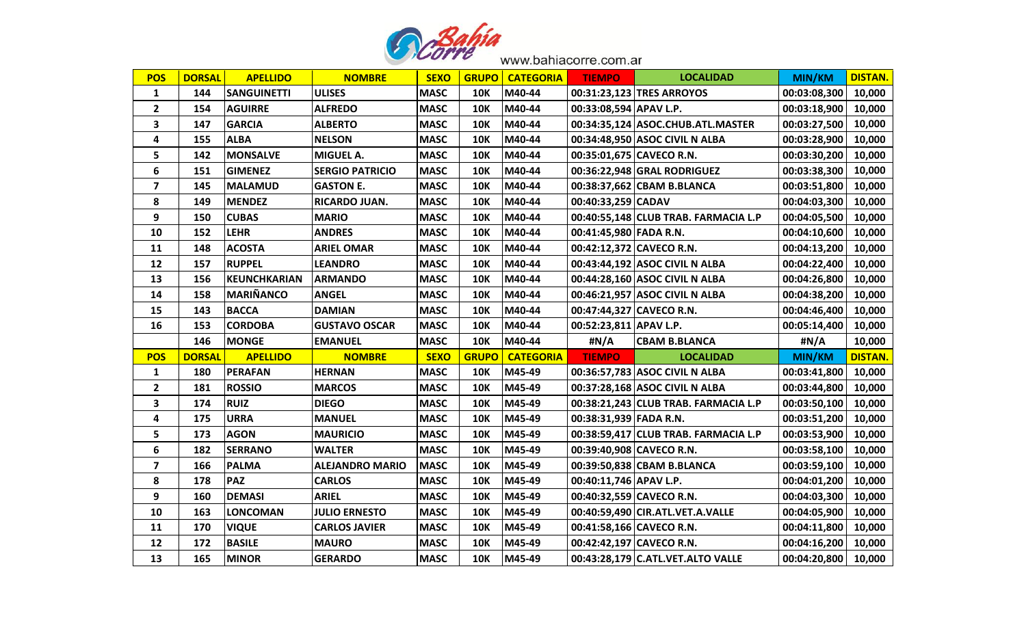

| <b>POS</b>              | <b>DORSAL</b> | <b>APELLIDO</b>    | <b>NOMBRE</b>          | <b>SEXO</b> | <b>GRUPO</b> | <b>CATEGORIA</b> | <b>TIEMPO</b>          | <b>LOCALIDAD</b>                     | MIN/KM        | <b>DISTAN.</b> |
|-------------------------|---------------|--------------------|------------------------|-------------|--------------|------------------|------------------------|--------------------------------------|---------------|----------------|
| $\mathbf{1}$            | 144           | <b>SANGUINETTI</b> | <b>ULISES</b>          | <b>MASC</b> | <b>10K</b>   | M40-44           |                        | 00:31:23,123 TRES ARROYOS            | 00:03:08,300  | 10,000         |
| $\mathbf{2}$            | 154           | <b>AGUIRRE</b>     | <b>ALFREDO</b>         | <b>MASC</b> | <b>10K</b>   | M40-44           | 00:33:08,594 APAV L.P. |                                      | 00:03:18,900  | 10,000         |
| 3                       | 147           | <b>GARCIA</b>      | <b>ALBERTO</b>         | <b>MASC</b> | <b>10K</b>   | M40-44           |                        | 00:34:35,124 ASOC.CHUB.ATL.MASTER    | 00:03:27,500  | 10,000         |
| 4                       | 155           | <b>ALBA</b>        | <b>NELSON</b>          | <b>MASC</b> | <b>10K</b>   | M40-44           |                        | 00:34:48,950 ASOC CIVIL N ALBA       | 00:03:28,900  | 10,000         |
| 5                       | 142           | <b>MONSALVE</b>    | <b>MIGUEL A.</b>       | <b>MASC</b> | <b>10K</b>   | M40-44           |                        | 00:35:01,675 CAVECO R.N.             | 00:03:30,200  | 10,000         |
| 6                       | 151           | <b>GIMENEZ</b>     | <b>SERGIO PATRICIO</b> | <b>MASC</b> | <b>10K</b>   | M40-44           |                        | 00:36:22,948 GRAL RODRIGUEZ          | 00:03:38,300  | 10,000         |
| $\overline{\mathbf{z}}$ | 145           | <b>MALAMUD</b>     | <b>GASTON E.</b>       | <b>MASC</b> | <b>10K</b>   | M40-44           |                        | 00:38:37,662 CBAM B.BLANCA           | 00:03:51,800  | 10,000         |
| 8                       | 149           | <b>MENDEZ</b>      | RICARDO JUAN.          | <b>MASC</b> | <b>10K</b>   | M40-44           | 00:40:33,259 CADAV     |                                      | 00:04:03,300  | 10,000         |
| 9                       | 150           | <b>CUBAS</b>       | <b>MARIO</b>           | <b>MASC</b> | <b>10K</b>   | M40-44           |                        | 00:40:55,148 CLUB TRAB. FARMACIA L.P | 00:04:05,500  | 10,000         |
| 10                      | 152           | <b>LEHR</b>        | <b>ANDRES</b>          | <b>MASC</b> | <b>10K</b>   | M40-44           | 00:41:45,980 FADA R.N. |                                      | 00:04:10,600  | 10,000         |
| 11                      | 148           | <b>ACOSTA</b>      | <b>ARIEL OMAR</b>      | <b>MASC</b> | <b>10K</b>   | M40-44           |                        | 00:42:12,372 CAVECO R.N.             | 00:04:13,200  | 10,000         |
| 12                      | 157           | <b>RUPPEL</b>      | <b>LEANDRO</b>         | <b>MASC</b> | <b>10K</b>   | M40-44           |                        | 00:43:44,192 ASOC CIVIL N ALBA       | 00:04:22,400  | 10,000         |
| 13                      | 156           | KEUNCHKARIAN       | <b>ARMANDO</b>         | <b>MASC</b> | <b>10K</b>   | M40-44           |                        | 00:44:28,160 ASOC CIVIL N ALBA       | 00:04:26,800  | 10,000         |
| 14                      | 158           | <b>MARIÑANCO</b>   | <b>ANGEL</b>           | <b>MASC</b> | <b>10K</b>   | M40-44           |                        | 00:46:21,957 ASOC CIVIL N ALBA       | 00:04:38,200  | 10,000         |
| 15                      | 143           | <b>BACCA</b>       | <b>DAMIAN</b>          | <b>MASC</b> | <b>10K</b>   | M40-44           |                        | 00:47:44,327 CAVECO R.N.             | 00:04:46,400  | 10,000         |
| 16                      | 153           | <b>CORDOBA</b>     | <b>GUSTAVO OSCAR</b>   | <b>MASC</b> | <b>10K</b>   | M40-44           | 00:52:23,811 APAV L.P. |                                      | 00:05:14,400  | 10,000         |
|                         | 146           | <b>MONGE</b>       | <b>EMANUEL</b>         | <b>MASC</b> | <b>10K</b>   | M40-44           | #N/A                   | <b>CBAM B.BLANCA</b>                 | #N/A          | 10,000         |
| <b>POS</b>              | <b>DORSAL</b> | <b>APELLIDO</b>    | <b>NOMBRE</b>          | <b>SEXO</b> | <b>GRUPO</b> | <b>CATEGORIA</b> | <b>TIEMPO</b>          | <b>LOCALIDAD</b>                     | <b>MIN/KM</b> | <b>DISTAN.</b> |
| $\mathbf{1}$            | 180           | <b>PERAFAN</b>     | <b>HERNAN</b>          | <b>MASC</b> | 10K          | M45-49           |                        | 00:36:57,783 ASOC CIVIL N ALBA       | 00:03:41,800  | 10,000         |
| $\overline{2}$          | 181           | <b>ROSSIO</b>      | <b>MARCOS</b>          | <b>MASC</b> | <b>10K</b>   | M45-49           |                        | 00:37:28,168 ASOC CIVIL N ALBA       | 00:03:44,800  | 10,000         |
| 3                       | 174           | <b>RUIZ</b>        | <b>DIEGO</b>           | <b>MASC</b> | <b>10K</b>   | M45-49           |                        | 00:38:21,243 CLUB TRAB. FARMACIA L.P | 00:03:50,100  | 10,000         |
| 4                       | 175           | <b>URRA</b>        | <b>MANUEL</b>          | <b>MASC</b> | <b>10K</b>   | M45-49           | 00:38:31,939 FADA R.N. |                                      | 00:03:51,200  | 10,000         |
| 5                       | 173           | <b>AGON</b>        | <b>MAURICIO</b>        | <b>MASC</b> | <b>10K</b>   | M45-49           |                        | 00:38:59,417 CLUB TRAB. FARMACIA L.P | 00:03:53,900  | 10,000         |
| 6                       | 182           | <b>SERRANO</b>     | <b>WALTER</b>          | <b>MASC</b> | <b>10K</b>   | M45-49           |                        | 00:39:40,908 CAVECO R.N.             | 00:03:58,100  | 10,000         |
| $\overline{\mathbf{z}}$ | 166           | <b>PALMA</b>       | <b>ALEJANDRO MARIO</b> | <b>MASC</b> | <b>10K</b>   | M45-49           |                        | 00:39:50,838 CBAM B.BLANCA           | 00:03:59,100  | 10,000         |
| 8                       | 178           | <b>PAZ</b>         | <b>CARLOS</b>          | <b>MASC</b> | <b>10K</b>   | M45-49           | 00:40:11,746 APAV L.P. |                                      | 00:04:01,200  | 10,000         |
| 9                       | 160           | <b>DEMASI</b>      | <b>ARIEL</b>           | <b>MASC</b> | <b>10K</b>   | M45-49           |                        | 00:40:32,559 CAVECO R.N.             | 00:04:03,300  | 10,000         |
| 10                      | 163           | <b>LONCOMAN</b>    | <b>JULIO ERNESTO</b>   | <b>MASC</b> | <b>10K</b>   | M45-49           |                        | 00:40:59,490 CIR.ATL.VET.A.VALLE     | 00:04:05,900  | 10,000         |
| 11                      | 170           | <b>VIQUE</b>       | <b>CARLOS JAVIER</b>   | <b>MASC</b> | <b>10K</b>   | M45-49           |                        | 00:41:58,166 CAVECO R.N.             | 00:04:11,800  | 10,000         |
| 12                      | 172           | <b>BASILE</b>      | <b>MAURO</b>           | <b>MASC</b> | <b>10K</b>   | M45-49           |                        | 00:42:42,197 CAVECO R.N.             | 00:04:16,200  | 10,000         |
| 13                      | 165           | <b>MINOR</b>       | <b>GERARDO</b>         | <b>MASC</b> | <b>10K</b>   | M45-49           |                        | 00:43:28,179 C.ATL.VET.ALTO VALLE    | 00:04:20,800  | 10,000         |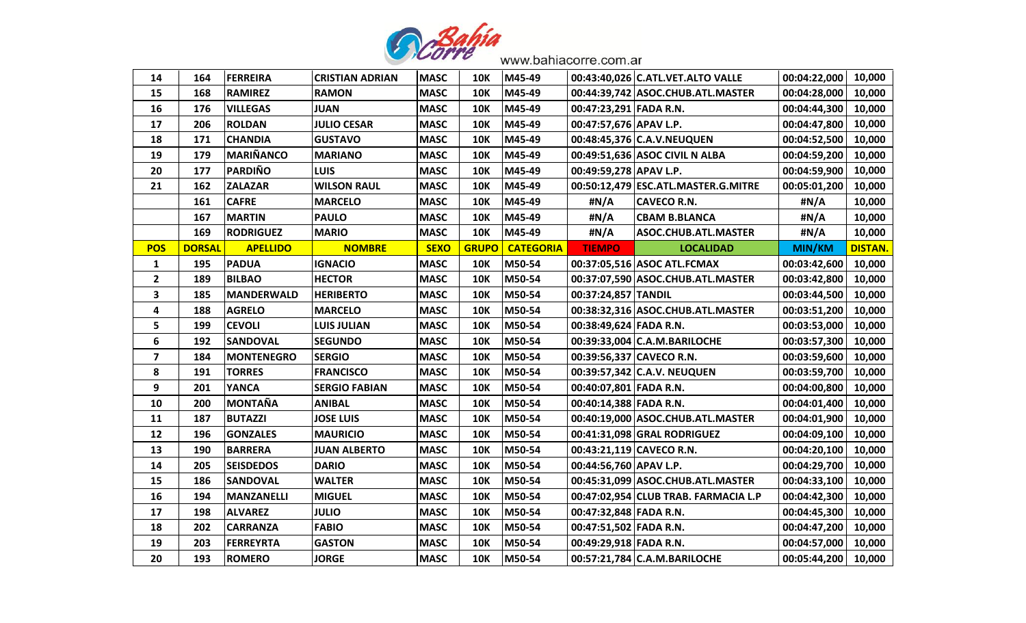

| 14           | 164           | <b>FERREIRA</b>   | <b>CRISTIAN ADRIAN</b> | <b>MASC</b> | 10K          | M45-49           |                        | 00:43:40,026 C.ATL.VET.ALTO VALLE    | 00:04:22,000 | 10,000         |
|--------------|---------------|-------------------|------------------------|-------------|--------------|------------------|------------------------|--------------------------------------|--------------|----------------|
| 15           | 168           | <b>RAMIREZ</b>    | <b>RAMON</b>           | <b>MASC</b> | <b>10K</b>   | M45-49           |                        | 00:44:39,742 ASOC.CHUB.ATL.MASTER    | 00:04:28,000 | 10,000         |
| 16           | 176           | <b>VILLEGAS</b>   | <b>JUAN</b>            | <b>MASC</b> | <b>10K</b>   | M45-49           | 00:47:23,291 FADA R.N. |                                      | 00:04:44,300 | 10,000         |
| 17           | 206           | <b>ROLDAN</b>     | <b>JULIO CESAR</b>     | <b>MASC</b> | <b>10K</b>   | M45-49           | 00:47:57,676 APAV L.P. |                                      | 00:04:47,800 | 10,000         |
| 18           | 171           | <b>CHANDIA</b>    | <b>GUSTAVO</b>         | <b>MASC</b> | <b>10K</b>   | M45-49           |                        | 00:48:45,376 C.A.V.NEUQUEN           | 00:04:52,500 | 10,000         |
| 19           | 179           | <b>MARIÑANCO</b>  | <b>MARIANO</b>         | <b>MASC</b> | <b>10K</b>   | M45-49           |                        | 00:49:51,636 ASOC CIVIL N ALBA       | 00:04:59,200 | 10,000         |
| 20           | 177           | <b>PARDIÑO</b>    | <b>LUIS</b>            | <b>MASC</b> | <b>10K</b>   | M45-49           | 00:49:59,278 APAV L.P. |                                      | 00:04:59,900 | 10,000         |
| 21           | 162           | <b>ZALAZAR</b>    | <b>WILSON RAUL</b>     | <b>MASC</b> | <b>10K</b>   | M45-49           |                        | 00:50:12,479 ESC.ATL.MASTER.G.MITRE  | 00:05:01,200 | 10,000         |
|              | 161           | <b>CAFRE</b>      | <b>MARCELO</b>         | <b>MASC</b> | <b>10K</b>   | M45-49           | #N/A                   | <b>CAVECO R.N.</b>                   | #N/A         | 10,000         |
|              | 167           | <b>MARTIN</b>     | <b>PAULO</b>           | <b>MASC</b> | <b>10K</b>   | M45-49           | #N/A                   | <b>CBAM B.BLANCA</b>                 | #N/A         | 10,000         |
|              | 169           | <b>RODRIGUEZ</b>  | <b>MARIO</b>           | <b>MASC</b> | <b>10K</b>   | M45-49           | #N/A                   | <b>ASOC.CHUB.ATL.MASTER</b>          | #N/A         | 10,000         |
| <b>POS</b>   | <b>DORSAL</b> | <b>APELLIDO</b>   | <b>NOMBRE</b>          | <b>SEXO</b> | <b>GRUPO</b> | <b>CATEGORIA</b> | <b>TIEMPO</b>          | <b>LOCALIDAD</b>                     | MIN/KM       | <b>DISTAN.</b> |
| 1            | 195           | <b>PADUA</b>      | <b>IGNACIO</b>         | <b>MASC</b> | 10K          | M50-54           |                        | 00:37:05,516 ASOC ATL.FCMAX          | 00:03:42,600 | 10,000         |
| $\mathbf{2}$ | 189           | <b>BILBAO</b>     | <b>HECTOR</b>          | <b>MASC</b> | <b>10K</b>   | M50-54           |                        | 00:37:07,590 ASOC.CHUB.ATL.MASTER    | 00:03:42,800 | 10,000         |
| 3            | 185           | <b>MANDERWALD</b> | <b>HERIBERTO</b>       | <b>MASC</b> | <b>10K</b>   | M50-54           | 00:37:24,857 TANDIL    |                                      | 00:03:44,500 | 10,000         |
| 4            | 188           | <b>AGRELO</b>     | <b>MARCELO</b>         | <b>MASC</b> | <b>10K</b>   | M50-54           |                        | 00:38:32,316 ASOC.CHUB.ATL.MASTER    | 00:03:51,200 | 10,000         |
| 5            | 199           | <b>CEVOLI</b>     | <b>LUIS JULIAN</b>     | <b>MASC</b> | <b>10K</b>   | M50-54           | 00:38:49,624 FADA R.N. |                                      | 00:03:53,000 | 10,000         |
| 6            | 192           | <b>SANDOVAL</b>   | <b>SEGUNDO</b>         | <b>MASC</b> | <b>10K</b>   | M50-54           |                        | 00:39:33,004 C.A.M.BARILOCHE         | 00:03:57,300 | 10,000         |
| 7            | 184           | <b>MONTENEGRO</b> | <b>SERGIO</b>          | <b>MASC</b> | <b>10K</b>   | M50-54           |                        | 00:39:56,337 CAVECO R.N.             | 00:03:59,600 | 10,000         |
| 8            | 191           | <b>TORRES</b>     | <b>FRANCISCO</b>       | <b>MASC</b> | <b>10K</b>   | M50-54           |                        | 00:39:57,342 C.A.V. NEUQUEN          | 00:03:59,700 | 10,000         |
| 9            | 201           | <b>YANCA</b>      | <b>SERGIO FABIAN</b>   | <b>MASC</b> | <b>10K</b>   | M50-54           | 00:40:07,801 FADA R.N. |                                      | 00:04:00,800 | 10,000         |
| 10           | 200           | <b>MONTAÑA</b>    | <b>ANIBAL</b>          | <b>MASC</b> | <b>10K</b>   | M50-54           | 00:40:14,388 FADA R.N. |                                      | 00:04:01,400 | 10,000         |
| 11           | 187           | <b>BUTAZZI</b>    | <b>JOSE LUIS</b>       | <b>MASC</b> | <b>10K</b>   | M50-54           |                        | 00:40:19,000 ASOC.CHUB.ATL.MASTER    | 00:04:01,900 | 10,000         |
| 12           | 196           | <b>GONZALES</b>   | <b>MAURICIO</b>        | <b>MASC</b> | <b>10K</b>   | M50-54           |                        | 00:41:31,098 GRAL RODRIGUEZ          | 00:04:09,100 | 10,000         |
| 13           | 190           | <b>BARRERA</b>    | <b>JUAN ALBERTO</b>    | <b>MASC</b> | <b>10K</b>   | M50-54           |                        | 00:43:21,119 CAVECO R.N.             | 00:04:20,100 | 10,000         |
| 14           | 205           | <b>SEISDEDOS</b>  | <b>DARIO</b>           | <b>MASC</b> | <b>10K</b>   | M50-54           | 00:44:56,760 APAV L.P. |                                      | 00:04:29,700 | 10,000         |
| 15           | 186           | <b>SANDOVAL</b>   | <b>WALTER</b>          | <b>MASC</b> | <b>10K</b>   | M50-54           |                        | 00:45:31,099 ASOC.CHUB.ATL.MASTER    | 00:04:33,100 | 10,000         |
| 16           | 194           | <b>MANZANELLI</b> | <b>MIGUEL</b>          | <b>MASC</b> | <b>10K</b>   | M50-54           |                        | 00:47:02,954 CLUB TRAB. FARMACIA L.P | 00:04:42,300 | 10,000         |
| 17           | 198           | <b>ALVAREZ</b>    | <b>JULIO</b>           | <b>MASC</b> | <b>10K</b>   | M50-54           | 00:47:32,848 FADA R.N. |                                      | 00:04:45,300 | 10,000         |
| 18           | 202           | <b>CARRANZA</b>   | <b>FABIO</b>           | <b>MASC</b> | <b>10K</b>   | M50-54           | 00:47:51,502 FADA R.N. |                                      | 00:04:47,200 | 10,000         |
| 19           | 203           | <b>FERREYRTA</b>  | <b>GASTON</b>          | <b>MASC</b> | <b>10K</b>   | M50-54           | 00:49:29,918 FADA R.N. |                                      | 00:04:57,000 | 10,000         |
| 20           | 193           | <b>ROMERO</b>     | <b>JORGE</b>           | <b>MASC</b> | <b>10K</b>   | M50-54           |                        | 00:57:21,784 C.A.M.BARILOCHE         | 00:05:44,200 | 10,000         |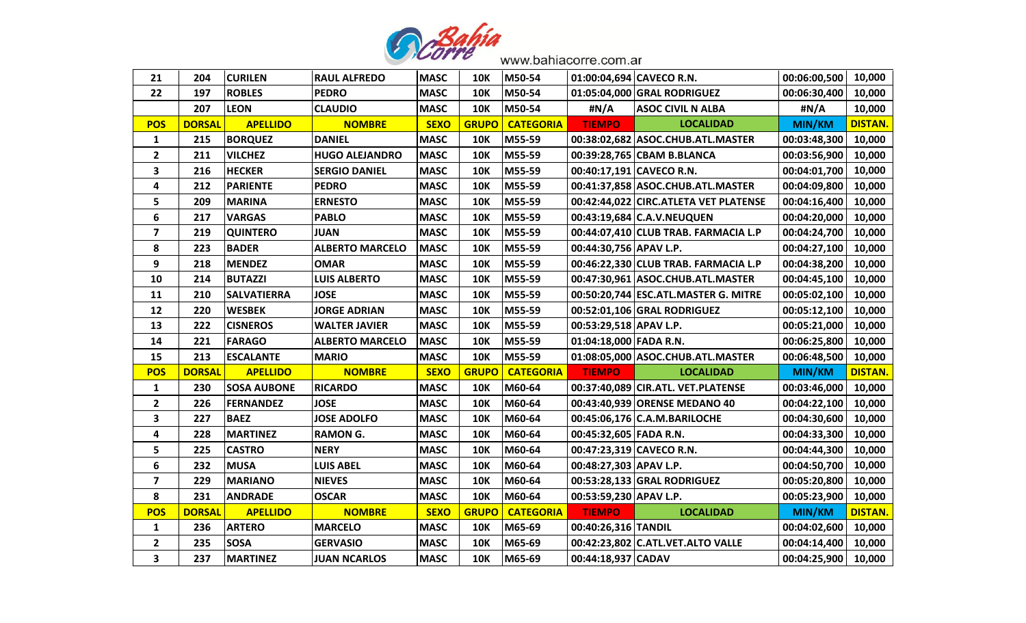

| 21                      | 204           | <b>CURILEN</b>     | <b>RAUL ALFREDO</b>    | <b>MASC</b> | <b>10K</b>   | M50-54           |                        | 01:00:04,694 CAVECO R.N.              | 00:06:00,500  | 10,000         |
|-------------------------|---------------|--------------------|------------------------|-------------|--------------|------------------|------------------------|---------------------------------------|---------------|----------------|
| 22                      | 197           | <b>ROBLES</b>      | <b>PEDRO</b>           | <b>MASC</b> | <b>10K</b>   | M50-54           |                        | 01:05:04,000 GRAL RODRIGUEZ           | 00:06:30,400  | 10,000         |
|                         | 207           | <b>LEON</b>        | <b>CLAUDIO</b>         | <b>MASC</b> | <b>10K</b>   | M50-54           | #N/A                   | <b>ASOC CIVIL N ALBA</b>              | #N/A          | 10,000         |
| <b>POS</b>              | <b>DORSAL</b> | <b>APELLIDO</b>    | <b>NOMBRE</b>          | <b>SEXO</b> | <b>GRUPO</b> | <b>CATEGORIA</b> | <b>TIEMPO</b>          | <b>LOCALIDAD</b>                      | <b>MIN/KM</b> | <b>DISTAN.</b> |
| $\mathbf{1}$            | 215           | <b>BORQUEZ</b>     | <b>DANIEL</b>          | <b>MASC</b> | <b>10K</b>   | M55-59           |                        | 00:38:02,682 ASOC.CHUB.ATL.MASTER     | 00:03:48,300  | 10,000         |
| $\mathbf{2}$            | 211           | <b>VILCHEZ</b>     | <b>HUGO ALEJANDRO</b>  | <b>MASC</b> | <b>10K</b>   | M55-59           |                        | 00:39:28,765 CBAM B.BLANCA            | 00:03:56,900  | 10,000         |
| 3                       | 216           | <b>HECKER</b>      | <b>SERGIO DANIEL</b>   | <b>MASC</b> | <b>10K</b>   | M55-59           |                        | 00:40:17,191 CAVECO R.N.              | 00:04:01,700  | 10,000         |
| 4                       | 212           | <b>PARIENTE</b>    | <b>PEDRO</b>           | <b>MASC</b> | <b>10K</b>   | M55-59           |                        | 00:41:37,858 ASOC.CHUB.ATL.MASTER     | 00:04:09,800  | 10,000         |
| 5                       | 209           | <b>MARINA</b>      | <b>ERNESTO</b>         | <b>MASC</b> | <b>10K</b>   | M55-59           |                        | 00:42:44,022 CIRC.ATLETA VET PLATENSE | 00:04:16,400  | 10,000         |
| 6                       | 217           | <b>VARGAS</b>      | <b>PABLO</b>           | <b>MASC</b> | <b>10K</b>   | M55-59           |                        | 00:43:19,684 C.A.V.NEUQUEN            | 00:04:20,000  | 10,000         |
| $\overline{\mathbf{z}}$ | 219           | <b>QUINTERO</b>    | <b>JUAN</b>            | <b>MASC</b> | <b>10K</b>   | M55-59           |                        | 00:44:07,410 CLUB TRAB. FARMACIA L.P  | 00:04:24,700  | 10,000         |
| 8                       | 223           | <b>BADER</b>       | <b>ALBERTO MARCELO</b> | <b>MASC</b> | <b>10K</b>   | M55-59           | 00:44:30,756 APAV L.P. |                                       | 00:04:27,100  | 10,000         |
| 9                       | 218           | <b>MENDEZ</b>      | <b>OMAR</b>            | <b>MASC</b> | <b>10K</b>   | M55-59           |                        | 00:46:22,330 CLUB TRAB. FARMACIA L.P  | 00:04:38,200  | 10,000         |
| 10                      | 214           | <b>BUTAZZI</b>     | <b>LUIS ALBERTO</b>    | <b>MASC</b> | <b>10K</b>   | M55-59           |                        | 00:47:30,961 ASOC.CHUB.ATL.MASTER     | 00:04:45,100  | 10,000         |
| 11                      | 210           | <b>SALVATIERRA</b> | <b>JOSE</b>            | <b>MASC</b> | <b>10K</b>   | M55-59           |                        | 00:50:20,744 ESC.ATL.MASTER G. MITRE  | 00:05:02,100  | 10,000         |
| 12                      | 220           | <b>WESBEK</b>      | <b>JORGE ADRIAN</b>    | <b>MASC</b> | <b>10K</b>   | M55-59           |                        | 00:52:01,106 GRAL RODRIGUEZ           | 00:05:12,100  | 10,000         |
| 13                      | 222           | <b>CISNEROS</b>    | <b>WALTER JAVIER</b>   | <b>MASC</b> | <b>10K</b>   | M55-59           | 00:53:29,518 APAV L.P. |                                       | 00:05:21,000  | 10,000         |
| 14                      | 221           | <b>FARAGO</b>      | <b>ALBERTO MARCELO</b> | <b>MASC</b> | <b>10K</b>   | M55-59           | 01:04:18,000 FADA R.N. |                                       | 00:06:25,800  | 10,000         |
| 15                      | 213           | <b>ESCALANTE</b>   | <b>MARIO</b>           | <b>MASC</b> | <b>10K</b>   | M55-59           |                        | 01:08:05,000 ASOC.CHUB.ATL.MASTER     | 00:06:48,500  | 10,000         |
| <b>POS</b>              | <b>DORSAL</b> | <b>APELLIDO</b>    | <b>NOMBRE</b>          | <b>SEXO</b> | <b>GRUPO</b> | <b>CATEGORIA</b> | <b>TIEMPO</b>          | <b>LOCALIDAD</b>                      | MIN/KM        | <b>DISTAN.</b> |
| $\mathbf{1}$            | 230           | <b>SOSA AUBONE</b> | <b>RICARDO</b>         | <b>MASC</b> | <b>10K</b>   | M60-64           |                        | 00:37:40,089 CIR.ATL. VET.PLATENSE    | 00:03:46,000  | 10,000         |
| $\mathbf{2}$            | 226           | <b>FERNANDEZ</b>   | <b>JOSE</b>            | <b>MASC</b> | <b>10K</b>   | M60-64           |                        | 00:43:40,939 ORENSE MEDANO 40         | 00:04:22,100  | 10,000         |
| 3                       | 227           | <b>BAEZ</b>        | <b>JOSE ADOLFO</b>     | <b>MASC</b> | <b>10K</b>   | M60-64           |                        | 00:45:06,176 C.A.M.BARILOCHE          | 00:04:30,600  | 10,000         |
| 4                       | 228           | <b>MARTINEZ</b>    | <b>RAMON G.</b>        | <b>MASC</b> | <b>10K</b>   | M60-64           | 00:45:32,605 FADA R.N. |                                       | 00:04:33,300  | 10,000         |
| 5                       | 225           | <b>CASTRO</b>      | <b>NERY</b>            | <b>MASC</b> | <b>10K</b>   | M60-64           |                        | 00:47:23,319 CAVECO R.N.              | 00:04:44,300  | 10,000         |
| 6                       | 232           | <b>MUSA</b>        | <b>LUIS ABEL</b>       | <b>MASC</b> | <b>10K</b>   | M60-64           | 00:48:27,303 APAV L.P. |                                       | 00:04:50,700  | 10,000         |
| $\overline{\mathbf{z}}$ | 229           | <b>MARIANO</b>     | <b>NIEVES</b>          | <b>MASC</b> | <b>10K</b>   | M60-64           |                        | 00:53:28,133 GRAL RODRIGUEZ           | 00:05:20,800  | 10,000         |
| 8                       | 231           | <b>ANDRADE</b>     | <b>OSCAR</b>           | <b>MASC</b> | <b>10K</b>   | M60-64           | 00:53:59,230 APAV L.P. |                                       | 00:05:23,900  | 10,000         |
| <b>POS</b>              | <b>DORSAL</b> | <b>APELLIDO</b>    | <b>NOMBRE</b>          | <b>SEXO</b> | <b>GRUPO</b> | <b>CATEGORIA</b> | <b>TIEMPO</b>          | <b>LOCALIDAD</b>                      | MIN/KM        | <b>DISTAN.</b> |
| $\mathbf{1}$            | 236           | <b>ARTERO</b>      | <b>MARCELO</b>         | <b>MASC</b> | <b>10K</b>   | M65-69           | 00:40:26,316 TANDIL    |                                       | 00:04:02,600  | 10,000         |
| $\mathbf{2}$            | 235           | <b>SOSA</b>        | <b>GERVASIO</b>        | <b>MASC</b> | <b>10K</b>   | M65-69           |                        | 00:42:23,802 C.ATL.VET.ALTO VALLE     | 00:04:14,400  | 10,000         |
| 3                       | 237           | <b>MARTINEZ</b>    | <b>JUAN NCARLOS</b>    | <b>MASC</b> | <b>10K</b>   | M65-69           | 00:44:18,937 CADAV     |                                       | 00:04:25,900  | 10,000         |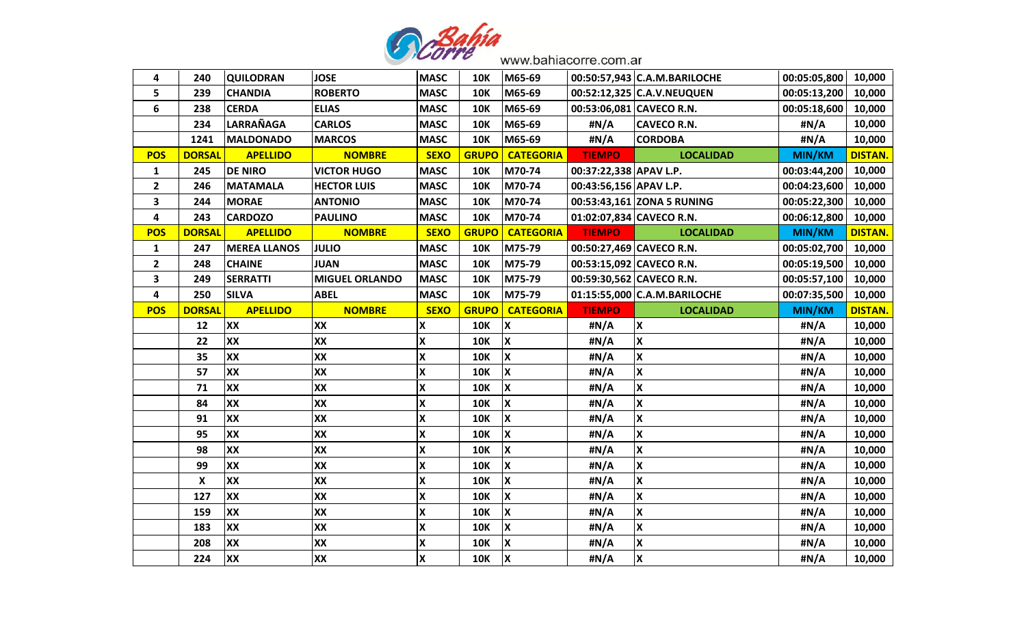

| 4            | 240           | <b>QUILODRAN</b>    | <b>JOSE</b>           | <b>MASC</b>               | <b>10K</b>   | M65-69                    |                          | 00:50:57,943 C.A.M.BARILOCHE | 00:05:05,800  | 10,000         |
|--------------|---------------|---------------------|-----------------------|---------------------------|--------------|---------------------------|--------------------------|------------------------------|---------------|----------------|
| 5            | 239           | <b>CHANDIA</b>      | <b>ROBERTO</b>        | <b>MASC</b>               | <b>10K</b>   | M65-69                    |                          | 00:52:12,325 C.A.V.NEUQUEN   | 00:05:13,200  | 10,000         |
| 6            | 238           | <b>CERDA</b>        | <b>ELIAS</b>          | <b>MASC</b>               | <b>10K</b>   | M65-69                    | 00:53:06,081 CAVECO R.N. |                              | 00:05:18,600  | 10,000         |
|              | 234           | LARRAÑAGA           | <b>CARLOS</b>         | <b>MASC</b>               | <b>10K</b>   | M65-69                    | #N/A                     | <b>CAVECO R.N.</b>           | #N/A          | 10,000         |
|              | 1241          | <b>MALDONADO</b>    | <b>MARCOS</b>         | <b>MASC</b>               | <b>10K</b>   | M65-69                    | #N/A                     | <b>CORDOBA</b>               | #N/A          | 10,000         |
| <b>POS</b>   | <b>DORSAL</b> | <b>APELLIDO</b>     | <b>NOMBRE</b>         | <b>SEXO</b>               | <b>GRUPO</b> | <b>CATEGORIA</b>          | <b>TIEMPO</b>            | <b>LOCALIDAD</b>             | <b>MIN/KM</b> | <b>DISTAN.</b> |
| 1            | 245           | <b>DE NIRO</b>      | <b>VICTOR HUGO</b>    | <b>MASC</b>               | <b>10K</b>   | M70-74                    | 00:37:22,338 APAV L.P.   |                              | 00:03:44,200  | 10,000         |
| $\mathbf{2}$ | 246           | <b>MATAMALA</b>     | <b>HECTOR LUIS</b>    | <b>MASC</b>               | <b>10K</b>   | M70-74                    | 00:43:56,156 APAV L.P.   |                              | 00:04:23,600  | 10,000         |
| 3            | 244           | <b>MORAE</b>        | <b>ANTONIO</b>        | <b>MASC</b>               | <b>10K</b>   | M70-74                    |                          | 00:53:43,161 ZONA 5 RUNING   | 00:05:22,300  | 10,000         |
| 4            | 243           | <b>CARDOZO</b>      | <b>PAULINO</b>        | <b>MASC</b>               | <b>10K</b>   | M70-74                    | 01:02:07,834 CAVECO R.N. |                              | 00:06:12,800  | 10,000         |
| <b>POS</b>   | <b>DORSAL</b> | <b>APELLIDO</b>     | <b>NOMBRE</b>         | <b>SEXO</b>               | <b>GRUPO</b> | <b>CATEGORIA</b>          | <b>TIEMPO</b>            | <b>LOCALIDAD</b>             | MIN/KM        | <b>DISTAN.</b> |
| 1            | 247           | <b>MEREA LLANOS</b> | <b>JULIO</b>          | <b>MASC</b>               | <b>10K</b>   | M75-79                    | 00:50:27,469 CAVECO R.N. |                              | 00:05:02,700  | 10,000         |
| $\mathbf{2}$ | 248           | <b>CHAINE</b>       | <b>JUAN</b>           | <b>MASC</b>               | <b>10K</b>   | M75-79                    | 00:53:15,092 CAVECO R.N. |                              | 00:05:19,500  | 10,000         |
| 3            | 249           | <b>SERRATTI</b>     | <b>MIGUEL ORLANDO</b> | <b>MASC</b>               | <b>10K</b>   | M75-79                    | 00:59:30,562 CAVECO R.N. |                              | 00:05:57,100  | 10,000         |
| 4            | 250           | <b>SILVA</b>        | <b>ABEL</b>           | <b>MASC</b>               | <b>10K</b>   | M75-79                    |                          | 01:15:55,000 C.A.M.BARILOCHE | 00:07:35,500  | 10,000         |
| <b>POS</b>   | <b>DORSAL</b> | <b>APELLIDO</b>     | <b>NOMBRE</b>         | <b>SEXO</b>               | <b>GRUPO</b> | <b>CATEGORIA</b>          | <b>TIEMPO</b>            | <b>LOCALIDAD</b>             | <b>MIN/KM</b> | <b>DISTAN.</b> |
|              | 12            | XX                  | XX                    | X                         | <b>10K</b>   | X                         | #N/A                     | $\boldsymbol{\mathsf{x}}$    | #N/A          | 10,000         |
|              | 22            | <b>XX</b>           | XX                    | X                         | <b>10K</b>   | X                         | #N/A                     | $\overline{\mathbf{x}}$      | #N/A          | 10,000         |
|              | 35            | XX                  | XX                    | X                         | <b>10K</b>   | X                         | #N/A                     | X                            | #N/A          | 10,000         |
|              | 57            | <b>XX</b>           | XX                    | X                         | <b>10K</b>   | $\overline{\mathbf{x}}$   | #N/A                     | $\overline{\mathbf{x}}$      | #N/A          | 10,000         |
|              | 71            | <b>XX</b>           | XX                    | X                         | <b>10K</b>   | X                         | #N/A                     | $\overline{\mathbf{x}}$      | #N/A          | 10,000         |
|              | 84            | XX                  | <b>XX</b>             | X                         | <b>10K</b>   | $\boldsymbol{\mathsf{x}}$ | #N/A                     | $\overline{\mathbf{x}}$      | #N/A          | 10,000         |
|              | 91            | XX                  | XX                    | X                         | <b>10K</b>   | $\boldsymbol{\mathsf{x}}$ | #N/A                     | $\overline{\mathbf{x}}$      | #N/A          | 10,000         |
|              | 95            | <b>XX</b>           | <b>XX</b>             | $\boldsymbol{\mathsf{X}}$ | <b>10K</b>   | <b>X</b>                  | #N/A                     | $\overline{\mathbf{x}}$      | #N/A          | 10,000         |
|              | 98            | XX                  | XX                    | X                         | <b>10K</b>   | X                         | #N/A                     | X                            | #N/A          | 10,000         |
|              | 99            | <b>XX</b>           | XX                    | X                         | <b>10K</b>   | $\boldsymbol{\mathsf{x}}$ | #N/A                     | $\overline{\mathbf{x}}$      | #N/A          | 10,000         |
|              | X             | <b>XX</b>           | <b>XX</b>             | X                         | <b>10K</b>   | <b>X</b>                  | #N/A                     | $\overline{\mathbf{x}}$      | #N/A          | 10,000         |
|              | 127           | XX                  | XX                    | X                         | <b>10K</b>   | X                         | #N/A                     | $\boldsymbol{\mathsf{x}}$    | #N/A          | 10,000         |
|              | 159           | XX                  | XX                    | X                         | <b>10K</b>   | $\boldsymbol{\mathsf{x}}$ | #N/A                     | $\overline{\mathbf{x}}$      | #N/A          | 10,000         |
|              | 183           | <b>XX</b>           | XX                    | $\mathsf{\overline{X}}$   | <b>10K</b>   | X                         | #N/A                     | $\overline{\mathbf{x}}$      | #N/A          | 10,000         |
|              | 208           | XX                  | XX                    | X                         | <b>10K</b>   | X                         | #N/A                     | $\boldsymbol{\mathsf{X}}$    | #N/A          | 10,000         |
|              | 224           | <b>XX</b>           | XX                    | X                         | <b>10K</b>   | X                         | #N/A                     | $\boldsymbol{\mathsf{x}}$    | #N/A          | 10,000         |